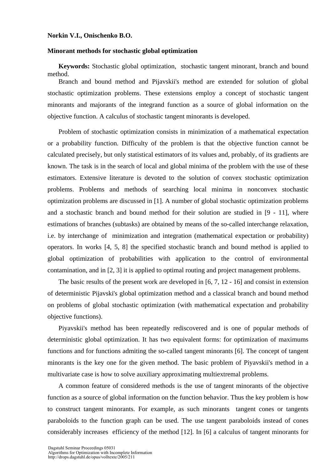## **Norkin V.I., Onischenko B.O.**

## **Minorant methods for stochastic global optimization**

**Keywords:** Stochastic global optimization, stochastic tangent minorant, branch and bound method.

Branch and bound method and Pijavskii's method are extended for solution of global stochastic optimization problems. These extensions employ a concept of stochastic tangent minorants and majorants of the integrand function as a source of global information on the objective function. A calculus of stochastic tangent minorants is developed.

Problem of stochastic optimization consists in minimization of a mathematical expectation or a probability function. Difficulty of the problem is that the objective function cannot be calculated precisely, but only statistical estimators of its values and, probably, of its gradients are known. The task is in the search of local and global minima of the problem with the use of these estimators. Extensive literature is devoted to the solution of convex stochastic optimization problems. Problems and methods of searching local minima in nonconvex stochastic optimization problems are discussed in [1]. A number of global stochastic optimization problems and a stochastic branch and bound method for their solution are studied in [9 - 11], where estimations of branches (subtasks) are obtained by means of the so-called interchange relaxation, i.e. by interchange of minimization and integration (mathematical expectation or probability) operators. In works [4, 5, 8] the specified stochastic branch and bound method is applied to global optimization of probabilities with application to the control of environmental contamination, and in [2, 3] it is applied to optimal routing and project management problems.

The basic results of the present work are developed in [6, 7, 12 - 16] and consist in extension of deterministic Pijavski's global optimization method and a classical branch and bound method on problems of global stochastic optimization (with mathematical expectation and probability objective functions).

Piyavskii's method has been repeatedly rediscovered and is one of popular methods of deterministic global optimization. It has two equivalent forms: for optimization of maximums functions and for functions admiting the so-called tangent minorants [6]. The concept of tangent minorants is the key one for the given method. The basic problem of Piyavskii's method in a multivariate case is how to solve auxiliary approximating multiextremal problems.

A common feature of considered methods is the use of tangent minorants of the objective function as a source of global information on the function behavior. Thus the key problem is how to construct tangent minorants. For example, as such minorants tangent cones or tangents paraboloids to the function graph can be used. The use tangent paraboloids instead of cones considerably increases efficiency of the method [12]. In [6] a calculus of tangent minorants for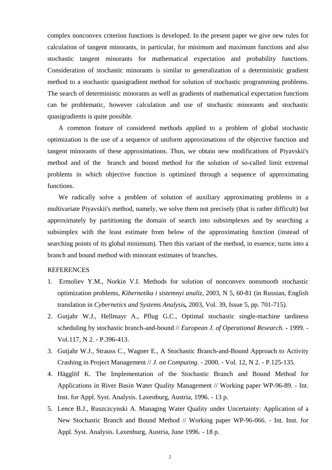complex nonconvex criterion functions is developed. In the present paper we give new rules for calculation of tangent minorants, in particular, for minimum and maximum functions and also stochastic tangent minorants for mathematical expectation and probability functions. Consideration of stochastic minorants is similar to generalization of a deterministic gradient method to a stochastic quasigradient method for solution of stochastic programming problems. The search of deterministic minorants as well as gradients of mathematical expectation functions can be problematic, however calculation and use of stochastic minorants and stochastic quasigradients is quite possible.

A common feature of considered methods applied to a problem of global stochastic optimization is the use of a sequence of uniform approximations of the objective function and tangent minorants of these approximations. Thus, we obtain new modifications of Piyavskii's method and of the branch and bound method for the solution of so-called limit extremal problems in which objective function is optimized through a sequence of approximating functions.

We radically solve a problem of solution of auxiliary approximating problems in a multivariate Piyavskii's method, namely, we solve them not precisely (that is rather difficult) but approximately by partitioning the domain of search into subsimplexes and by searching a subsimplex with the least estimate from below of the approximating function (instead of searching points of its global minimum). Then this variant of the method, in essence, turns into a branch and bound method with minorant estimates of branches.

## REFERENCES

- 1. Ermoliev Y.M., Norkin V.I. Methods for solution of nonconvex nonsmooth stochastic optimization problems, *Kibernetika i sistemnyi analiz*, 2003, N 5, 60-81 (in Russian, English translation in *Cybernetics and Systems Analysis,* 2003, Vol. 39, Issue 5, pp. 701-715).
- 2. Gutjahr W.J., Hellmayr A., Pflug G.C., Optimal stochastic single-machine tardiness scheduling by stochastic branch-and-bound // *European J. of Operational Research.* - 1999. - Vol.117, N 2. - P.396-413.
- 3. Gutjahr W.J., Strauss C., Wagner E., A Stochastic Branch-and-Bound Approach to Activity Crashing in Project Management // *J. on Computing.* - 2000. - Vol. 12, N 2. - P.125-135.
- 4. Hägglöf K. The Implementation of the Stochastic Branch and Bound Method for Applications in River Basin Water Quality Management // Working paper WP-96-89. - Int. Inst. for Appl. Syst. Analysis. Laxenburg, Austria, 1996. - 13 p.
- 5. Lence B.J., Ruszczcynski A. Managing Water Quality under Uncertainty: Application of a New Stochastic Branch and Bound Method // Working paper WP-96-066. - Int. Inst. for Appl. Syst. Analysis. Laxenburg, Austria, June 1996. - 18 p.